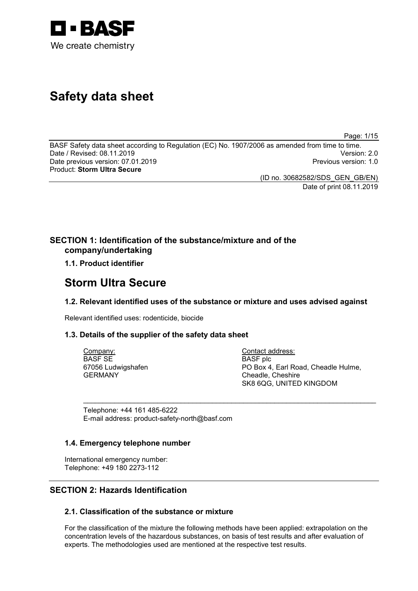

# **Safety data sheet**

Page: 1/15

BASF Safety data sheet according to Regulation (EC) No. 1907/2006 as amended from time to time. Date / Revised: 08.11.2019 Version: 2.0 Date previous version: 07.01.2019 Product: **Storm Ultra Secure**

(ID no. 30682582/SDS\_GEN\_GB/EN)

Date of print 08.11.2019

# **SECTION 1: Identification of the substance/mixture and of the company/undertaking**

**1.1. Product identifier**

# **Storm Ultra Secure**

# **1.2. Relevant identified uses of the substance or mixture and uses advised against**

\_\_\_\_\_\_\_\_\_\_\_\_\_\_\_\_\_\_\_\_\_\_\_\_\_\_\_\_\_\_\_\_\_\_\_\_\_\_\_\_\_\_\_\_\_\_\_\_\_\_\_\_\_\_\_\_\_\_\_\_\_\_\_\_\_\_\_\_\_\_\_\_\_\_\_

Relevant identified uses: rodenticide, biocide

# **1.3. Details of the supplier of the safety data sheet**

Company: BASF SE 67056 Ludwigshafen GERMANY

Contact address: BASF plc PO Box 4, Earl Road, Cheadle Hulme, Cheadle, Cheshire SK8 6QG, UNITED KINGDOM

Telephone: +44 161 485-6222 E-mail address: product-safety-north@basf.com

# **1.4. Emergency telephone number**

International emergency number: Telephone: +49 180 2273-112

# **SECTION 2: Hazards Identification**

# **2.1. Classification of the substance or mixture**

For the classification of the mixture the following methods have been applied: extrapolation on the concentration levels of the hazardous substances, on basis of test results and after evaluation of experts. The methodologies used are mentioned at the respective test results.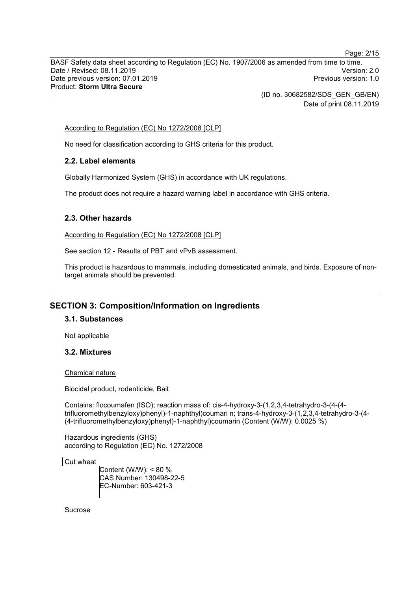BASF Safety data sheet according to Regulation (EC) No. 1907/2006 as amended from time to time. Date / Revised: 08.11.2019 Version: 2.0 Date previous version: 07.01.2019 Product: **Storm Ultra Secure**

> (ID no. 30682582/SDS\_GEN\_GB/EN) Date of print 08.11.2019

According to Regulation (EC) No 1272/2008 [CLP]

No need for classification according to GHS criteria for this product.

# **2.2. Label elements**

Globally Harmonized System (GHS) in accordance with UK regulations.

The product does not require a hazard warning label in accordance with GHS criteria.

### **2.3. Other hazards**

According to Regulation (EC) No 1272/2008 [CLP]

See section 12 - Results of PBT and vPvB assessment.

This product is hazardous to mammals, including domesticated animals, and birds. Exposure of nontarget animals should be prevented.

# **SECTION 3: Composition/Information on Ingredients**

# **3.1. Substances**

Not applicable

### **3.2. Mixtures**

Chemical nature

Biocidal product, rodenticide, Bait

Contains: flocoumafen (ISO); reaction mass of: cis-4-hydroxy-3-(1,2,3,4-tetrahydro-3-(4-(4 trifluoromethylbenzyloxy)phenyl)-1-naphthyl)coumari n; trans-4-hydroxy-3-(1,2,3,4-tetrahydro-3-(4- (4-trifluoromethylbenzyloxy)phenyl)-1-naphthyl)coumarin (Content (W/W): 0.0025 %)

Hazardous ingredients (GHS) according to Regulation (EC) No. 1272/2008

Cut wheat

Content (W/W): < 80 % CAS Number: 130498-22-5 EC-Number: 603-421-3

**Sucrose** 

Page: 2/15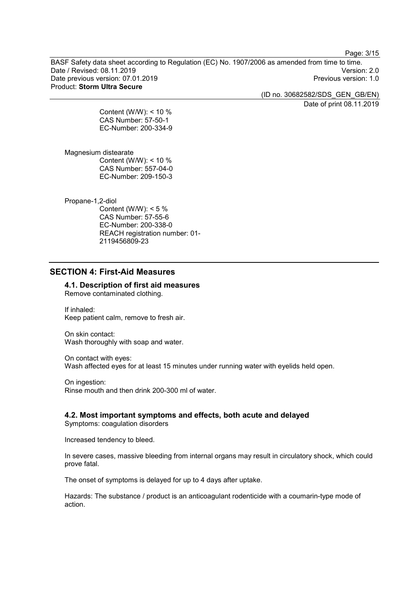Page: 3/15

BASF Safety data sheet according to Regulation (EC) No. 1907/2006 as amended from time to time. Date / Revised: 08.11.2019 Version: 2.0 Date previous version: 07.01.2019 Product: **Storm Ultra Secure**

(ID no. 30682582/SDS\_GEN\_GB/EN)

Date of print 08.11.2019

Content (W/W): < 10 % CAS Number: 57-50-1 EC-Number: 200-334-9

Magnesium distearate Content (W/W): < 10 % CAS Number: 557-04-0 EC-Number: 209-150-3

Propane-1,2-diol

Content (W/W):  $<$  5 % CAS Number: 57-55-6 EC-Number: 200-338-0 REACH registration number: 01- 2119456809-23

# **SECTION 4: First-Aid Measures**

**4.1. Description of first aid measures** Remove contaminated clothing.

If inhaled: Keep patient calm, remove to fresh air.

On skin contact: Wash thoroughly with soap and water.

On contact with eyes: Wash affected eyes for at least 15 minutes under running water with eyelids held open.

On ingestion: Rinse mouth and then drink 200-300 ml of water.

# **4.2. Most important symptoms and effects, both acute and delayed**

Symptoms: coagulation disorders

Increased tendency to bleed.

In severe cases, massive bleeding from internal organs may result in circulatory shock, which could prove fatal.

The onset of symptoms is delayed for up to 4 days after uptake.

Hazards: The substance / product is an anticoagulant rodenticide with a coumarin-type mode of action.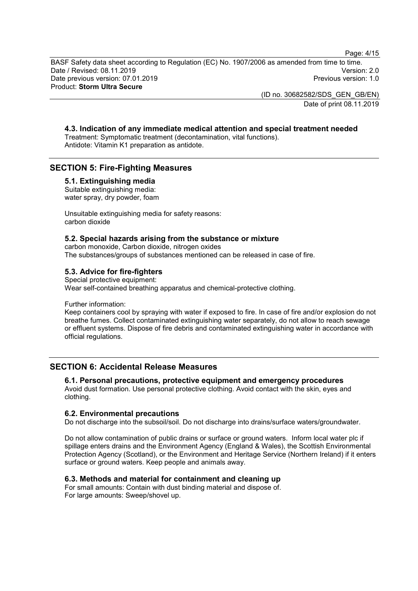Page: 4/15

BASF Safety data sheet according to Regulation (EC) No. 1907/2006 as amended from time to time. Date / Revised: 08.11.2019 Version: 2.0 Date previous version: 07.01.2019 Product: **Storm Ultra Secure**

> (ID no. 30682582/SDS\_GEN\_GB/EN) Date of print 08.11.2019

# **4.3. Indication of any immediate medical attention and special treatment needed**

Treatment: Symptomatic treatment (decontamination, vital functions). Antidote: Vitamin K1 preparation as antidote.

# **SECTION 5: Fire-Fighting Measures**

## **5.1. Extinguishing media**

Suitable extinguishing media: water spray, dry powder, foam

Unsuitable extinguishing media for safety reasons: carbon dioxide

## **5.2. Special hazards arising from the substance or mixture**

carbon monoxide, Carbon dioxide, nitrogen oxides The substances/groups of substances mentioned can be released in case of fire.

# **5.3. Advice for fire-fighters**

Special protective equipment: Wear self-contained breathing apparatus and chemical-protective clothing.

Further information:

Keep containers cool by spraying with water if exposed to fire. In case of fire and/or explosion do not breathe fumes. Collect contaminated extinguishing water separately, do not allow to reach sewage or effluent systems. Dispose of fire debris and contaminated extinguishing water in accordance with official regulations.

# **SECTION 6: Accidental Release Measures**

# **6.1. Personal precautions, protective equipment and emergency procedures**

Avoid dust formation. Use personal protective clothing. Avoid contact with the skin, eyes and clothing.

### **6.2. Environmental precautions**

Do not discharge into the subsoil/soil. Do not discharge into drains/surface waters/groundwater.

Do not allow contamination of public drains or surface or ground waters. Inform local water plc if spillage enters drains and the Environment Agency (England & Wales), the Scottish Environmental Protection Agency (Scotland), or the Environment and Heritage Service (Northern Ireland) if it enters surface or ground waters. Keep people and animals away.

# **6.3. Methods and material for containment and cleaning up**

For small amounts: Contain with dust binding material and dispose of. For large amounts: Sweep/shovel up.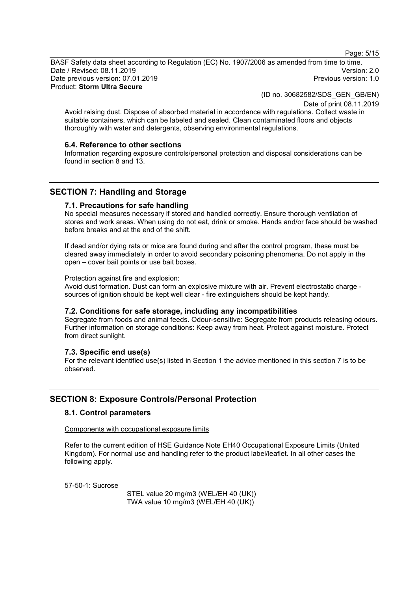Page: 5/15

BASF Safety data sheet according to Regulation (EC) No. 1907/2006 as amended from time to time. Date / Revised: 08.11.2019 Version: 2.0 Date previous version: 07.01.2019 Product: **Storm Ultra Secure**

(ID no. 30682582/SDS\_GEN\_GB/EN)

Date of print 08.11.2019

Avoid raising dust. Dispose of absorbed material in accordance with regulations. Collect waste in suitable containers, which can be labeled and sealed. Clean contaminated floors and objects thoroughly with water and detergents, observing environmental regulations.

### **6.4. Reference to other sections**

Information regarding exposure controls/personal protection and disposal considerations can be found in section 8 and 13.

# **SECTION 7: Handling and Storage**

### **7.1. Precautions for safe handling**

No special measures necessary if stored and handled correctly. Ensure thorough ventilation of stores and work areas. When using do not eat, drink or smoke. Hands and/or face should be washed before breaks and at the end of the shift.

If dead and/or dying rats or mice are found during and after the control program, these must be cleared away immediately in order to avoid secondary poisoning phenomena. Do not apply in the open – cover bait points or use bait boxes.

#### Protection against fire and explosion:

Avoid dust formation. Dust can form an explosive mixture with air. Prevent electrostatic charge sources of ignition should be kept well clear - fire extinguishers should be kept handy.

### **7.2. Conditions for safe storage, including any incompatibilities**

Segregate from foods and animal feeds. Odour-sensitive: Segregate from products releasing odours. Further information on storage conditions: Keep away from heat. Protect against moisture. Protect from direct sunlight.

### **7.3. Specific end use(s)**

For the relevant identified use(s) listed in Section 1 the advice mentioned in this section 7 is to be observed.

# **SECTION 8: Exposure Controls/Personal Protection**

#### **8.1. Control parameters**

#### Components with occupational exposure limits

Refer to the current edition of HSE Guidance Note EH40 Occupational Exposure Limits (United Kingdom). For normal use and handling refer to the product label/leaflet. In all other cases the following apply.

57-50-1: Sucrose

STEL value 20 mg/m3 (WEL/EH 40 (UK)) TWA value 10 mg/m3 (WEL/EH 40 (UK))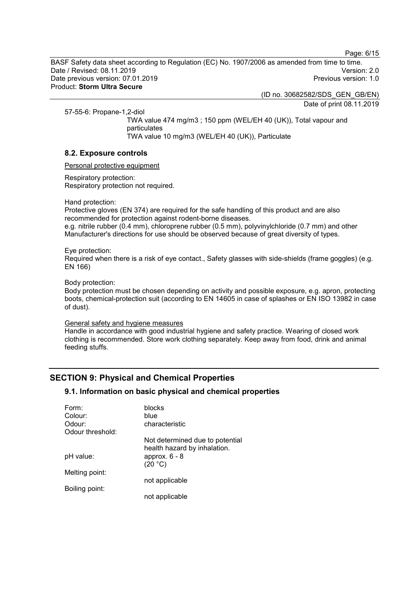Page: 6/15

BASF Safety data sheet according to Regulation (EC) No. 1907/2006 as amended from time to time. Date / Revised: 08.11.2019 Version: 2.0 Date previous version: 07.01.2019 Product: **Storm Ultra Secure**

(ID no. 30682582/SDS\_GEN\_GB/EN)

Date of print 08.11.2019

57-55-6: Propane-1,2-diol

TWA value 474 mg/m3 ; 150 ppm (WEL/EH 40 (UK)), Total vapour and particulates TWA value 10 mg/m3 (WEL/EH 40 (UK)), Particulate

# **8.2. Exposure controls**

Personal protective equipment

Respiratory protection: Respiratory protection not required.

Hand protection:

Protective gloves (EN 374) are required for the safe handling of this product and are also recommended for protection against rodent-borne diseases.

e.g. nitrile rubber (0.4 mm), chloroprene rubber (0.5 mm), polyvinylchloride (0.7 mm) and other Manufacturer's directions for use should be observed because of great diversity of types.

#### Eye protection:

Required when there is a risk of eye contact., Safety glasses with side-shields (frame goggles) (e.g. EN 166)

#### Body protection:

Body protection must be chosen depending on activity and possible exposure, e.g. apron, protecting boots, chemical-protection suit (according to EN 14605 in case of splashes or EN ISO 13982 in case of dust).

#### General safety and hygiene measures

Handle in accordance with good industrial hygiene and safety practice. Wearing of closed work clothing is recommended. Store work clothing separately. Keep away from food, drink and animal feeding stuffs.

# **SECTION 9: Physical and Chemical Properties**

# **9.1. Information on basic physical and chemical properties**

| Form:            | <b>blocks</b>                   |
|------------------|---------------------------------|
| Colour:          | blue                            |
| Odour:           | characteristic                  |
| Odour threshold: |                                 |
|                  | Not determined due to potential |
|                  | health hazard by inhalation.    |
| pH value:        | approx. $6 - 8$                 |
|                  | (20 °C)                         |
| Melting point:   |                                 |
|                  | not applicable                  |
| Boiling point:   |                                 |
|                  | not applicable                  |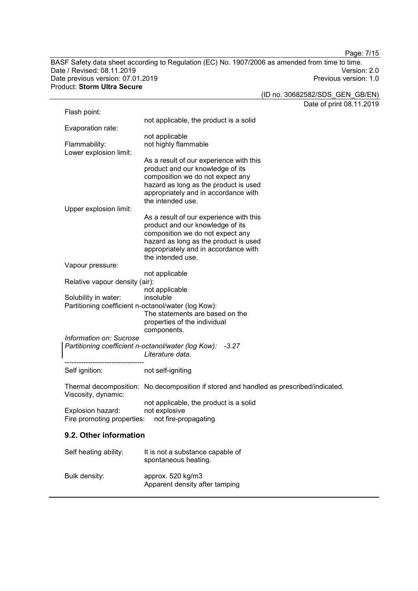Page: 7/15

BASF Safety data sheet according to Regulation (EC) No. 1907/2006 as amended from time to time. Date / Revised: 08.11.2019 Version: 2.0 Date previous version: 07.01.2019 Previous version: 1.0 Product: **Storm Ultra Secure**

|                                |                                                                                        | (ID no. 30682582/SDS_GEN_GB/EN) |
|--------------------------------|----------------------------------------------------------------------------------------|---------------------------------|
|                                |                                                                                        | Date of print 08.11.2019        |
| Flash point:                   |                                                                                        |                                 |
|                                | not applicable, the product is a solid                                                 |                                 |
| Evaporation rate:              | not applicable                                                                         |                                 |
| Flammability:                  | not highly flammable                                                                   |                                 |
| Lower explosion limit:         |                                                                                        |                                 |
|                                | As a result of our experience with this                                                |                                 |
|                                | product and our knowledge of its                                                       |                                 |
|                                | composition we do not expect any                                                       |                                 |
|                                | hazard as long as the product is used                                                  |                                 |
|                                | appropriately and in accordance with                                                   |                                 |
|                                | the intended use.                                                                      |                                 |
| Upper explosion limit:         | As a result of our experience with this                                                |                                 |
|                                | product and our knowledge of its                                                       |                                 |
|                                | composition we do not expect any                                                       |                                 |
|                                | hazard as long as the product is used                                                  |                                 |
|                                | appropriately and in accordance with                                                   |                                 |
|                                | the intended use.                                                                      |                                 |
| Vapour pressure:               |                                                                                        |                                 |
|                                | not applicable                                                                         |                                 |
| Relative vapour density (air): |                                                                                        |                                 |
| Solubility in water:           | not applicable<br>insoluble                                                            |                                 |
|                                | Partitioning coefficient n-octanol/water (log Kow):                                    |                                 |
|                                | The statements are based on the                                                        |                                 |
|                                | properties of the individual                                                           |                                 |
|                                | components.                                                                            |                                 |
| Information on: Sucrose        |                                                                                        |                                 |
|                                | Partitioning coefficient n-octanol/water (log Kow): -3.27                              |                                 |
|                                | Literature data.                                                                       |                                 |
|                                | not self-igniting                                                                      |                                 |
| Self ignition:                 |                                                                                        |                                 |
|                                | Thermal decomposition: No decomposition if stored and handled as prescribed/indicated. |                                 |
| Viscosity, dynamic:            |                                                                                        |                                 |
|                                | not applicable, the product is a solid                                                 |                                 |
| Explosion hazard:              | not explosive                                                                          |                                 |
| Fire promoting properties:     | not fire-propagating                                                                   |                                 |
| 9.2. Other information         |                                                                                        |                                 |
|                                |                                                                                        |                                 |
| Self heating ability:          | It is not a substance capable of                                                       |                                 |
|                                | spontaneous heating.                                                                   |                                 |
|                                |                                                                                        |                                 |
| Bulk density:                  | approx. 520 kg/m3                                                                      |                                 |
|                                | Apparent density after tamping                                                         |                                 |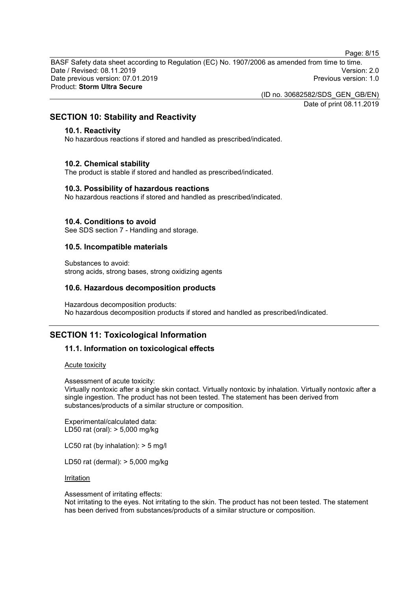Page: 8/15

BASF Safety data sheet according to Regulation (EC) No. 1907/2006 as amended from time to time. Date / Revised: 08.11.2019 Version: 2.0 Date previous version: 07.01.2019 Product: **Storm Ultra Secure**

(ID no. 30682582/SDS\_GEN\_GB/EN)

Date of print 08.11.2019

# **SECTION 10: Stability and Reactivity**

# **10.1. Reactivity**

No hazardous reactions if stored and handled as prescribed/indicated.

## **10.2. Chemical stability**

The product is stable if stored and handled as prescribed/indicated.

## **10.3. Possibility of hazardous reactions**

No hazardous reactions if stored and handled as prescribed/indicated.

## **10.4. Conditions to avoid**

See SDS section 7 - Handling and storage.

### **10.5. Incompatible materials**

Substances to avoid: strong acids, strong bases, strong oxidizing agents

# **10.6. Hazardous decomposition products**

Hazardous decomposition products: No hazardous decomposition products if stored and handled as prescribed/indicated.

# **SECTION 11: Toxicological Information**

# **11.1. Information on toxicological effects**

#### Acute toxicity

Assessment of acute toxicity:

Virtually nontoxic after a single skin contact. Virtually nontoxic by inhalation. Virtually nontoxic after a single ingestion. The product has not been tested. The statement has been derived from substances/products of a similar structure or composition.

Experimental/calculated data: LD50 rat (oral): > 5,000 mg/kg

LC50 rat (by inhalation): > 5 mg/l

LD50 rat (dermal): > 5,000 mg/kg

#### **Irritation**

Assessment of irritating effects:

Not irritating to the eyes. Not irritating to the skin. The product has not been tested. The statement has been derived from substances/products of a similar structure or composition.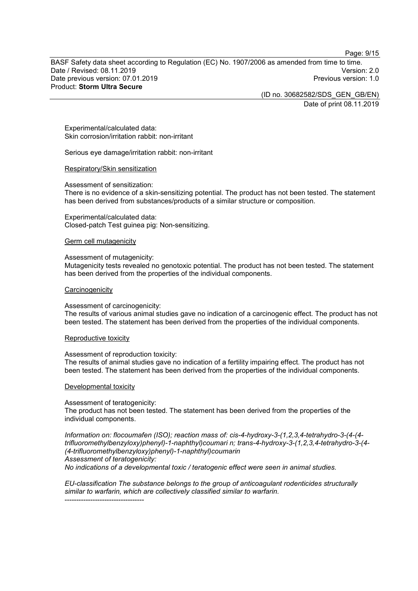Page: 9/15

BASF Safety data sheet according to Regulation (EC) No. 1907/2006 as amended from time to time. Date / Revised: 08.11.2019 Version: 2.0 Date previous version: 07.01.2019 Product: **Storm Ultra Secure**

> (ID no. 30682582/SDS\_GEN\_GB/EN) Date of print 08.11.2019

Experimental/calculated data: Skin corrosion/irritation rabbit: non-irritant

Serious eye damage/irritation rabbit: non-irritant

#### Respiratory/Skin sensitization

Assessment of sensitization:

There is no evidence of a skin-sensitizing potential. The product has not been tested. The statement has been derived from substances/products of a similar structure or composition.

Experimental/calculated data: Closed-patch Test guinea pig: Non-sensitizing.

Germ cell mutagenicity

#### Assessment of mutagenicity:

Mutagenicity tests revealed no genotoxic potential. The product has not been tested. The statement has been derived from the properties of the individual components.

#### **Carcinogenicity**

#### Assessment of carcinogenicity:

The results of various animal studies gave no indication of a carcinogenic effect. The product has not been tested. The statement has been derived from the properties of the individual components.

#### Reproductive toxicity

Assessment of reproduction toxicity:

The results of animal studies gave no indication of a fertility impairing effect. The product has not been tested. The statement has been derived from the properties of the individual components.

Developmental toxicity

Assessment of teratogenicity:

----------------------------------

The product has not been tested. The statement has been derived from the properties of the individual components.

*Information on: flocoumafen (ISO); reaction mass of: cis-4-hydroxy-3-(1,2,3,4-tetrahydro-3-(4-(4 trifluoromethylbenzyloxy)phenyl)-1-naphthyl)coumari n; trans-4-hydroxy-3-(1,2,3,4-tetrahydro-3-(4- (4-trifluoromethylbenzyloxy)phenyl)-1-naphthyl)coumarin Assessment of teratogenicity:*

*No indications of a developmental toxic / teratogenic effect were seen in animal studies.*

*EU-classification The substance belongs to the group of anticoagulant rodenticides structurally similar to warfarin, which are collectively classified similar to warfarin.*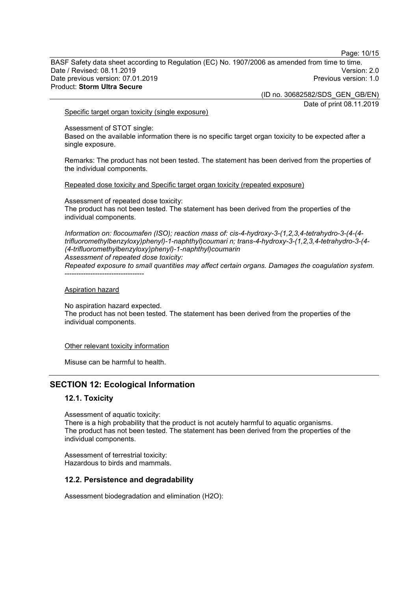Page: 10/15

BASF Safety data sheet according to Regulation (EC) No. 1907/2006 as amended from time to time. Date / Revised: 08.11.2019 Version: 2.0 Date previous version: 07.01.2019 Product: **Storm Ultra Secure**

(ID no. 30682582/SDS\_GEN\_GB/EN)

Date of print 08.11.2019

#### Specific target organ toxicity (single exposure)

Assessment of STOT single:

Based on the available information there is no specific target organ toxicity to be expected after a single exposure.

Remarks: The product has not been tested. The statement has been derived from the properties of the individual components.

Repeated dose toxicity and Specific target organ toxicity (repeated exposure)

Assessment of repeated dose toxicity: The product has not been tested. The statement has been derived from the properties of the individual components.

*Information on: flocoumafen (ISO); reaction mass of: cis-4-hydroxy-3-(1,2,3,4-tetrahydro-3-(4-(4 trifluoromethylbenzyloxy)phenyl)-1-naphthyl)coumari n; trans-4-hydroxy-3-(1,2,3,4-tetrahydro-3-(4- (4-trifluoromethylbenzyloxy)phenyl)-1-naphthyl)coumarin Assessment of repeated dose toxicity:*

*Repeated exposure to small quantities may affect certain organs. Damages the coagulation system.* ----------------------------------

### Aspiration hazard

No aspiration hazard expected. The product has not been tested. The statement has been derived from the properties of the individual components.

#### Other relevant toxicity information

Misuse can be harmful to health.

# **SECTION 12: Ecological Information**

# **12.1. Toxicity**

Assessment of aquatic toxicity: There is a high probability that the product is not acutely harmful to aquatic organisms. The product has not been tested. The statement has been derived from the properties of the individual components.

Assessment of terrestrial toxicity: Hazardous to birds and mammals.

### **12.2. Persistence and degradability**

Assessment biodegradation and elimination (H2O):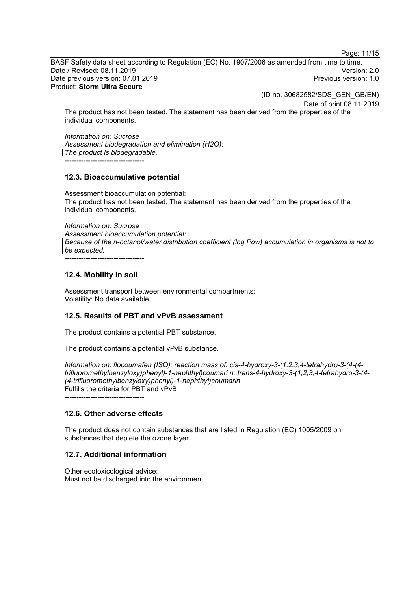Page: 11/15

BASF Safety data sheet according to Regulation (EC) No. 1907/2006 as amended from time to time. Date / Revised: 08.11.2019 Version: 2.0 Date previous version: 07.01.2019 Product: **Storm Ultra Secure**

(ID no. 30682582/SDS\_GEN\_GB/EN)

Date of print 08.11.2019

The product has not been tested. The statement has been derived from the properties of the individual components.

*Information on: Sucrose Assessment biodegradation and elimination (H2O): The product is biodegradable.* ----------------------------------

# **12.3. Bioaccumulative potential**

Assessment bioaccumulation potential: The product has not been tested. The statement has been derived from the properties of the individual components.

*Information on: Sucrose*

*Assessment bioaccumulation potential: Because of the n-octanol/water distribution coefficient (log Pow) accumulation in organisms is not to be expected.*

----------------------------------

# **12.4. Mobility in soil**

Assessment transport between environmental compartments: Volatility: No data available.

# **12.5. Results of PBT and vPvB assessment**

The product contains a potential PBT substance.

The product contains a potential vPvB substance.

*Information on: flocoumafen (ISO); reaction mass of: cis-4-hydroxy-3-(1,2,3,4-tetrahydro-3-(4-(4 trifluoromethylbenzyloxy)phenyl)-1-naphthyl)coumari n; trans-4-hydroxy-3-(1,2,3,4-tetrahydro-3-(4- (4-trifluoromethylbenzyloxy)phenyl)-1-naphthyl)coumarin* Fulfills the criteria for PBT and vPvB *----------------------------------*

# **12.6. Other adverse effects**

The product does not contain substances that are listed in Regulation (EC) 1005/2009 on substances that deplete the ozone layer.

# **12.7. Additional information**

Other ecotoxicological advice: Must not be discharged into the environment.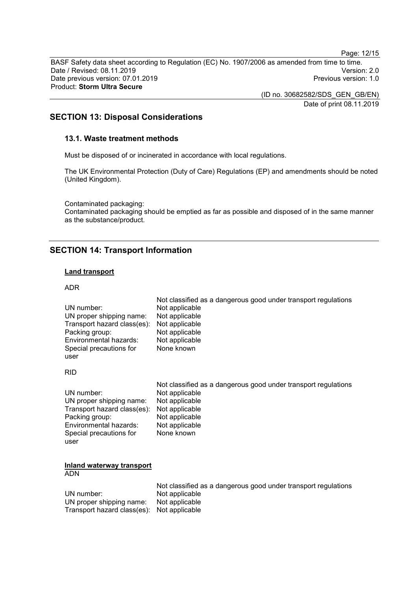Page: 12/15

BASF Safety data sheet according to Regulation (EC) No. 1907/2006 as amended from time to time. Date / Revised: 08.11.2019 Version: 2.0 Date previous version: 07.01.2019 Product: **Storm Ultra Secure**

> (ID no. 30682582/SDS\_GEN\_GB/EN) Date of print 08.11.2019

# **SECTION 13: Disposal Considerations**

## **13.1. Waste treatment methods**

Must be disposed of or incinerated in accordance with local regulations.

The UK Environmental Protection (Duty of Care) Regulations (EP) and amendments should be noted (United Kingdom).

Contaminated packaging: Contaminated packaging should be emptied as far as possible and disposed of in the same manner as the substance/product.

# **SECTION 14: Transport Information**

#### **Land transport**

### ADR

|                                            | <u>NULCIASSINGU AS A UANGGIOUS GOOD UNIGEN INANSIDOIL I GUIDANONS</u> |
|--------------------------------------------|-----------------------------------------------------------------------|
| UN number:                                 | Not applicable                                                        |
| UN proper shipping name:                   | Not applicable                                                        |
| Transport hazard class(es): Not applicable |                                                                       |
| Packing group:                             | Not applicable                                                        |
| Environmental hazards:                     | Not applicable                                                        |
| Special precautions for                    | None known                                                            |
| user                                       |                                                                       |
|                                            |                                                                       |

Not classified as a dangerous good under transport regulations

#### RID

|                                            | Not classified as a dangerous good under transport regulations |
|--------------------------------------------|----------------------------------------------------------------|
| UN number:                                 | Not applicable                                                 |
| UN proper shipping name:                   | Not applicable                                                 |
| Transport hazard class(es): Not applicable |                                                                |
| Packing group:                             | Not applicable                                                 |
| Environmental hazards:                     | Not applicable                                                 |
| Special precautions for                    | None known                                                     |
| user                                       |                                                                |

# **Inland waterway transport**

ADN

|                                            | Not classified as a dangerous good under transport regulations |
|--------------------------------------------|----------------------------------------------------------------|
| UN number: .                               | Not applicable                                                 |
| UN proper shipping name:                   | Not applicable                                                 |
| Transport hazard class(es): Not applicable |                                                                |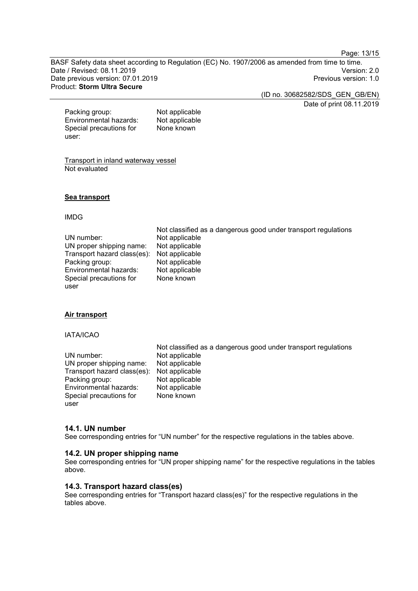Page: 13/15

BASF Safety data sheet according to Regulation (EC) No. 1907/2006 as amended from time to time. Date / Revised: 08.11.2019 Version: 2.0 Date previous version: 07.01.2019 Product: **Storm Ultra Secure**

(ID no. 30682582/SDS\_GEN\_GB/EN)

Date of print 08.11.2019

Packing group: Not applicable<br>
Environmental hazards: Not applicable Environmental hazards: Special precautions for user: None known

Transport in inland waterway vessel

Not evaluated

### **Sea transport**

### IMDG

|                                            | Not classified as a dangerous good under transport regulations |
|--------------------------------------------|----------------------------------------------------------------|
| UN number:                                 | Not applicable                                                 |
| UN proper shipping name:                   | Not applicable                                                 |
| Transport hazard class(es): Not applicable |                                                                |
| Packing group:                             | Not applicable                                                 |
| Environmental hazards:                     | Not applicable                                                 |
| Special precautions for                    | None known                                                     |
| user                                       |                                                                |

### **Air transport**

### IATA/ICAO

|                                            | Not classified as a dangerous good under transport regulations |
|--------------------------------------------|----------------------------------------------------------------|
| UN number:                                 | Not applicable                                                 |
| UN proper shipping name:                   | Not applicable                                                 |
| Transport hazard class(es): Not applicable |                                                                |
| Packing group:                             | Not applicable                                                 |
| Environmental hazards:                     | Not applicable                                                 |
| Special precautions for                    | None known                                                     |
| user                                       |                                                                |

## **14.1. UN number**

See corresponding entries for "UN number" for the respective regulations in the tables above.

### **14.2. UN proper shipping name**

See corresponding entries for "UN proper shipping name" for the respective regulations in the tables above.

### **14.3. Transport hazard class(es)**

See corresponding entries for "Transport hazard class(es)" for the respective regulations in the tables above.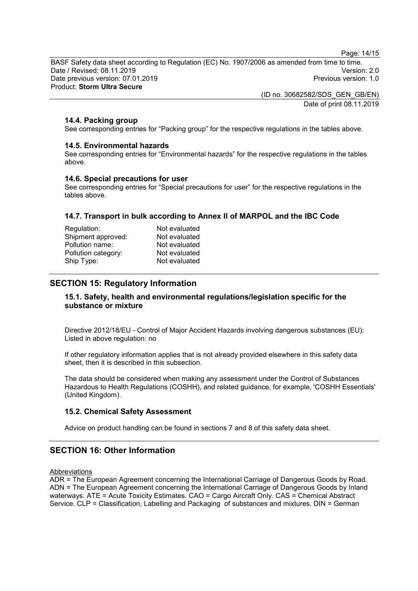Page: 14/15

BASF Safety data sheet according to Regulation (EC) No. 1907/2006 as amended from time to time. Date / Revised: 08.11.2019 Version: 2.0 Date previous version: 07.01.2019 Product: **Storm Ultra Secure**

> (ID no. 30682582/SDS\_GEN\_GB/EN) Date of print 08.11.2019

# **14.4. Packing group**

See corresponding entries for "Packing group" for the respective regulations in the tables above.

## **14.5. Environmental hazards**

See corresponding entries for "Environmental hazards" for the respective regulations in the tables above.

## **14.6. Special precautions for user**

See corresponding entries for "Special precautions for user" for the respective regulations in the tables above.

# **14.7. Transport in bulk according to Annex II of MARPOL and the IBC Code**

| Regulation:         | Not evaluated |
|---------------------|---------------|
| Shipment approved:  | Not evaluated |
| Pollution name:     | Not evaluated |
| Pollution category: | Not evaluated |
| Ship Type:          | Not evaluated |
|                     |               |

# **SECTION 15: Regulatory Information**

# **15.1. Safety, health and environmental regulations/legislation specific for the substance or mixture**

Directive 2012/18/EU - Control of Major Accident Hazards involving dangerous substances (EU): Listed in above regulation: no

If other regulatory information applies that is not already provided elsewhere in this safety data sheet, then it is described in this subsection.

The data should be considered when making any assessment under the Control of Substances Hazardous to Health Regulations (COSHH), and related guidance, for example, 'COSHH Essentials' (United Kingdom).

# **15.2. Chemical Safety Assessment**

Advice on product handling can be found in sections 7 and 8 of this safety data sheet.

# **SECTION 16: Other Information**

**Abbreviations** 

ADR = The European Agreement concerning the International Carriage of Dangerous Goods by Road. ADN = The European Agreement concerning the International Carriage of Dangerous Goods by Inland waterways. ATE = Acute Toxicity Estimates. CAO = Cargo Aircraft Only. CAS = Chemical Abstract Service. CLP = Classification, Labelling and Packaging of substances and mixtures. DIN = German